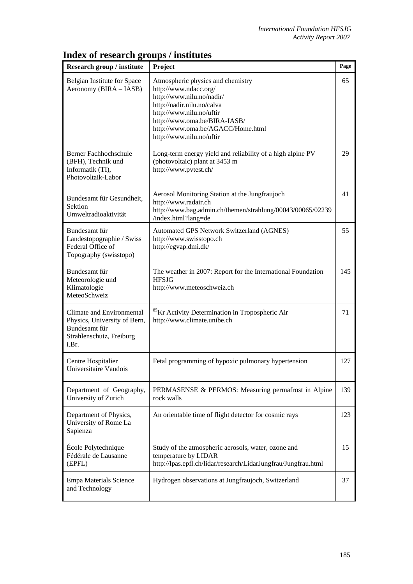| <b>Research group / institute</b>                                                                               | Project                                                                                                                                                                                                                                            | Page |
|-----------------------------------------------------------------------------------------------------------------|----------------------------------------------------------------------------------------------------------------------------------------------------------------------------------------------------------------------------------------------------|------|
| Belgian Institute for Space<br>Aeronomy (BIRA – IASB)                                                           | Atmospheric physics and chemistry<br>http://www.ndacc.org/<br>http://www.nilu.no/nadir/<br>http://nadir.nilu.no/calva<br>http://www.nilu.no/uftir<br>http://www.oma.be/BIRA-IASB/<br>http://www.oma.be/AGACC/Home.html<br>http://www.nilu.no/uftir | 65   |
| <b>Berner Fachhochschule</b><br>(BFH), Technik und<br>Informatik (TI),<br>Photovoltaik-Labor                    | Long-term energy yield and reliability of a high alpine PV<br>(photovoltaic) plant at 3453 m<br>http://www.pvtest.ch/                                                                                                                              | 29   |
| Bundesamt für Gesundheit,<br>Sektion<br>Umweltradioaktivität                                                    | Aerosol Monitoring Station at the Jungfraujoch<br>http://www.radair.ch<br>http://www.bag.admin.ch/themen/strahlung/00043/00065/02239<br>/index.html?lang=de                                                                                        | 41   |
| Bundesamt für<br>Landestopographie / Swiss<br>Federal Office of<br>Topography (swisstopo)                       | Automated GPS Network Switzerland (AGNES)<br>http://www.swisstopo.ch<br>http://egvap.dmi.dk/                                                                                                                                                       | 55   |
| Bundesamt für<br>Meteorologie und<br>Klimatologie<br>MeteoSchweiz                                               | The weather in 2007: Report for the International Foundation<br><b>HFSJG</b><br>http://www.meteoschweiz.ch                                                                                                                                         | 145  |
| Climate and Environmental<br>Physics, University of Bern,<br>Bundesamt für<br>Strahlenschutz, Freiburg<br>i.Br. | <sup>85</sup> Kr Activity Determination in Tropospheric Air<br>http://www.climate.unibe.ch                                                                                                                                                         | 71   |
| Centre Hospitalier<br>Universitaire Vaudois                                                                     | Fetal programming of hypoxic pulmonary hypertension                                                                                                                                                                                                | 127  |
| Department of Geography,<br>University of Zurich                                                                | PERMASENSE & PERMOS: Measuring permafrost in Alpine<br>rock walls                                                                                                                                                                                  | 139  |
| Department of Physics,<br>University of Rome La<br>Sapienza                                                     | An orientable time of flight detector for cosmic rays                                                                                                                                                                                              | 123  |
| École Polytechnique<br>Fédérale de Lausanne<br>(EPFL)                                                           | Study of the atmospheric aerosols, water, ozone and<br>temperature by LIDAR<br>http://lpas.epfl.ch/lidar/research/LidarJungfrau/Jungfrau.html                                                                                                      | 15   |

Hydrogen observations at Jungfraujoch, Switzerland 37

## **Index of research groups / institutes**

Empa Materials Science

and Technology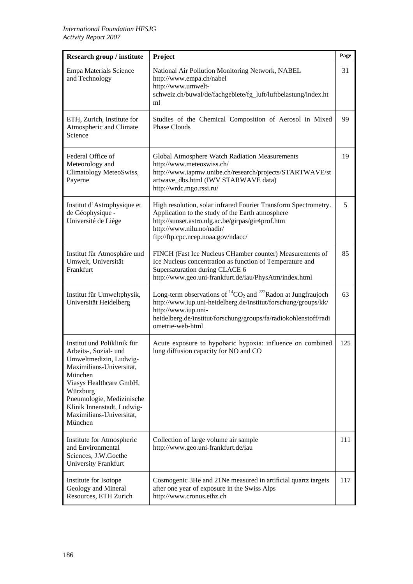| Research group / institute                                                                                                                                                                                                                                     | Project                                                                                                                                                                                                                                                       | Page |
|----------------------------------------------------------------------------------------------------------------------------------------------------------------------------------------------------------------------------------------------------------------|---------------------------------------------------------------------------------------------------------------------------------------------------------------------------------------------------------------------------------------------------------------|------|
| Empa Materials Science<br>and Technology                                                                                                                                                                                                                       | National Air Pollution Monitoring Network, NABEL<br>http://www.empa.ch/nabel<br>http://www.umwelt-<br>schweiz.ch/buwal/de/fachgebiete/fg_luft/luftbelastung/index.ht<br>ml                                                                                    | 31   |
| ETH, Zurich, Institute for<br>Atmospheric and Climate<br>Science                                                                                                                                                                                               | Studies of the Chemical Composition of Aerosol in Mixed<br><b>Phase Clouds</b>                                                                                                                                                                                | 99   |
| Federal Office of<br>Meteorology and<br>Climatology MeteoSwiss,<br>Payerne                                                                                                                                                                                     | Global Atmosphere Watch Radiation Measurements<br>http://www.meteoswiss.ch/<br>http://www.iapmw.unibe.ch/research/projects/STARTWAVE/st<br>artwave_dbs.html (IWV STARWAVE data)<br>http://wrdc.mgo.rssi.ru/                                                   | 19   |
| Institut d'Astrophysique et<br>de Géophysique -<br>Université de Liège                                                                                                                                                                                         | High resolution, solar infrared Fourier Transform Spectrometry.<br>Application to the study of the Earth atmosphere<br>http://sunset.astro.ulg.ac.be/girpas/gir4prof.htm<br>http://www.nilu.no/nadir/<br>ftp://ftp.cpc.ncep.noaa.gov/ndacc/                   | 5    |
| Institut für Atmosphäre und<br>Umwelt, Universität<br>Frankfurt                                                                                                                                                                                                | FINCH (Fast Ice Nucleus CHamber counter) Measurements of<br>Ice Nucleus concentration as function of Temperature and<br>Supersaturation during CLACE 6<br>http://www.geo.uni-frankfurt.de/iau/PhysAtm/index.html                                              | 85   |
| Institut für Umweltphysik,<br>Universität Heidelberg                                                                                                                                                                                                           | Long-term observations of ${}^{14}CO_2$ and ${}^{222}$ Radon at Jungfraujoch<br>http://www.iup.uni-heidelberg.de/institut/forschung/groups/kk/<br>http://www.iup.uni-<br>heidelberg.de/institut/forschung/groups/fa/radiokohlenstoff/radi<br>ometrie-web-html | 63   |
| Institut und Poliklinik für<br>Arbeits-, Sozial- und<br>Umweltmedizin, Ludwig-<br>Maximilians-Universität,<br>München<br>Viasys Healthcare GmbH,<br>Würzburg<br>Pneumologie, Medizinische<br>Klinik Innenstadt, Ludwig-<br>Maximilians-Universität,<br>München | Acute exposure to hypobaric hypoxia: influence on combined<br>lung diffusion capacity for NO and CO                                                                                                                                                           | 125  |
| Institute for Atmospheric<br>and Environmental<br>Sciences, J.W.Goethe<br>University Frankfurt                                                                                                                                                                 | Collection of large volume air sample<br>http://www.geo.uni-frankfurt.de/iau                                                                                                                                                                                  | 111  |
| Institute for Isotope<br>Geology and Mineral<br>Resources, ETH Zurich                                                                                                                                                                                          | Cosmogenic 3He and 21Ne measured in artificial quartz targets<br>after one year of exposure in the Swiss Alps<br>http://www.cronus.ethz.ch                                                                                                                    | 117  |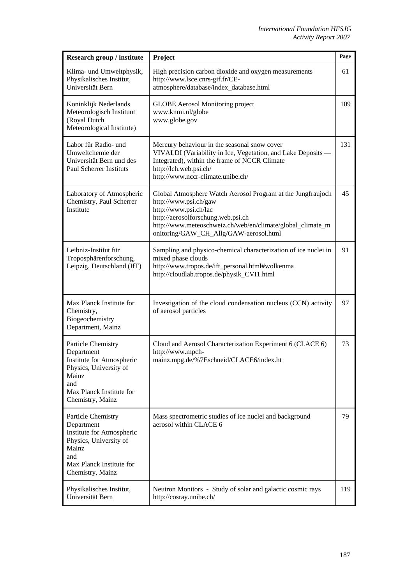| Research group / institute                                                                                                                              | Project                                                                                                                                                                                                                                                     | Page |
|---------------------------------------------------------------------------------------------------------------------------------------------------------|-------------------------------------------------------------------------------------------------------------------------------------------------------------------------------------------------------------------------------------------------------------|------|
| Klima- und Umweltphysik,<br>Physikalisches Institut,<br>Universität Bern                                                                                | High precision carbon dioxide and oxygen measurements<br>http://www.lsce.cnrs-gif.fr/CE-<br>atmosphere/database/index_database.html                                                                                                                         | 61   |
| Koninklijk Nederlands<br>Meteorologisch Instituut<br>(Royal Dutch<br>Meteorological Institute)                                                          | <b>GLOBE</b> Aerosol Monitoring project<br>www.knmi.nl/globe<br>www.globe.gov                                                                                                                                                                               | 109  |
| Labor für Radio- und<br>Umweltchemie der<br>Universität Bern und des<br><b>Paul Scherrer Instituts</b>                                                  | Mercury behaviour in the seasonal snow cover<br>VIVALDI (Variability in Ice, Vegetation, and Lake Deposits -<br>Integrated), within the frame of NCCR Climate<br>http://lch.web.psi.ch/<br>http://www.nccr-climate.unibe.ch/                                | 131  |
| Laboratory of Atmospheric<br>Chemistry, Paul Scherrer<br>Institute                                                                                      | Global Atmosphere Watch Aerosol Program at the Jungfraujoch<br>http://www.psi.ch/gaw<br>http://www.psi.ch/lac<br>http://aerosolforschung.web.psi.ch<br>http://www.meteoschweiz.ch/web/en/climate/global_climate_m<br>onitoring/GAW_CH_Allg/GAW-aerosol.html | 45   |
| Leibniz-Institut für<br>Troposphärenforschung,<br>Leipzig, Deutschland (IfT)                                                                            | Sampling and physico-chemical characterization of ice nuclei in<br>mixed phase clouds<br>http://www.tropos.de/ift_personal.html#wolkenma<br>http://cloudlab.tropos.de/physik_CVI1.html                                                                      | 91   |
| Max Planck Institute for<br>Chemistry,<br>Biogeochemistry<br>Department, Mainz                                                                          | Investigation of the cloud condensation nucleus (CCN) activity<br>of aerosol particles                                                                                                                                                                      | 97   |
| Particle Chemistry<br>Department<br>Institute for Atmospheric<br>Physics, University of<br>Mainz<br>and<br>Max Planck Institute for<br>Chemistry, Mainz | Cloud and Aerosol Characterization Experiment 6 (CLACE 6)<br>http://www.mpch-<br>mainz.mpg.de/%7Eschneid/CLACE6/index.ht                                                                                                                                    | 73   |
| Particle Chemistry<br>Department<br>Institute for Atmospheric<br>Physics, University of<br>Mainz<br>and<br>Max Planck Institute for<br>Chemistry, Mainz | Mass spectrometric studies of ice nuclei and background<br>aerosol within CLACE 6                                                                                                                                                                           | 79   |
| Physikalisches Institut,<br>Universität Bern                                                                                                            | Neutron Monitors - Study of solar and galactic cosmic rays<br>http://cosray.unibe.ch/                                                                                                                                                                       | 119  |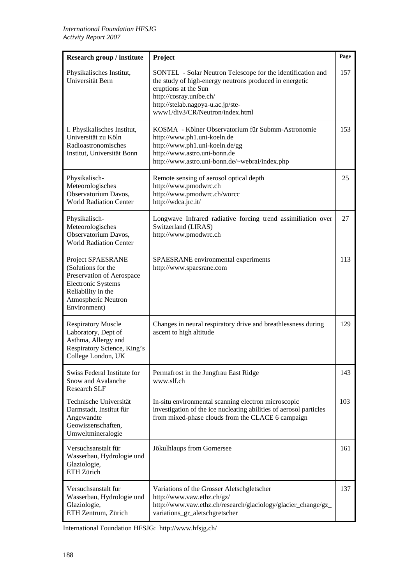| Research group / institute                                                                                                                                     | Project                                                                                                                                                                                                                                           | Page |
|----------------------------------------------------------------------------------------------------------------------------------------------------------------|---------------------------------------------------------------------------------------------------------------------------------------------------------------------------------------------------------------------------------------------------|------|
| Physikalisches Institut,<br>Universität Bern                                                                                                                   | SONTEL - Solar Neutron Telescope for the identification and<br>the study of high-energy neutrons produced in energetic<br>eruptions at the Sun<br>http://cosray.unibe.ch/<br>http://stelab.nagoya-u.ac.jp/ste-<br>www1/div3/CR/Neutron/index.html | 157  |
| I. Physikalisches Institut,<br>Universität zu Köln<br>Radioastronomisches<br>Institut, Universität Bonn                                                        | KOSMA - Kölner Observatorium für Submm-Astronomie<br>http://www.ph1.uni-koeln.de<br>http://www.ph1.uni-koeln.de/gg<br>http://www.astro.uni-bonn.de<br>http://www.astro.uni-bonn.de/~webrai/index.php                                              | 153  |
| Physikalisch-<br>Meteorologisches<br>Observatorium Davos,<br><b>World Radiation Center</b>                                                                     | Remote sensing of aerosol optical depth<br>http://www.pmodwrc.ch<br>http://www.pmodwrc.ch/worcc<br>http://wdca.jrc.it/                                                                                                                            | 25   |
| Physikalisch-<br>Meteorologisches<br>Observatorium Davos,<br><b>World Radiation Center</b>                                                                     | Longwave Infrared radiative forcing trend assimiliation over<br>Switzerland (LIRAS)<br>http://www.pmodwrc.ch                                                                                                                                      | 27   |
| Project SPAESRANE<br>(Solutions for the<br>Preservation of Aerospace<br><b>Electronic Systems</b><br>Reliability in the<br>Atmospheric Neutron<br>Environment) | SPAESRANE environmental experiments<br>http://www.spaesrane.com                                                                                                                                                                                   | 113  |
| <b>Respiratory Muscle</b><br>Laboratory, Dept of<br>Asthma, Allergy and<br>Respiratory Science, King's<br>College London, UK                                   | Changes in neural respiratory drive and breathlessness during<br>ascent to high altitude                                                                                                                                                          | 129  |
| Swiss Federal Institute for<br>Snow and Avalanche<br><b>Research SLF</b>                                                                                       | Permafrost in the Jungfrau East Ridge<br>www.slf.ch                                                                                                                                                                                               | 143  |
| Technische Universität<br>Darmstadt, Institut für<br>Angewandte<br>Geowissenschaften,<br>Umweltmineralogie                                                     | In-situ environmental scanning electron microscopic<br>investigation of the ice nucleating abilities of aerosol particles<br>from mixed-phase clouds from the CLACE 6 campaign                                                                    | 103  |
| Versuchsanstalt für<br>Wasserbau, Hydrologie und<br>Glaziologie,<br>ETH Zürich                                                                                 | Jökulhlaups from Gornersee                                                                                                                                                                                                                        | 161  |
| Versuchsanstalt für<br>Wasserbau, Hydrologie und<br>Glaziologie,<br>ETH Zentrum, Zürich                                                                        | Variations of the Grosser Aletschgletscher<br>http://www.vaw.ethz.ch/gz/<br>http://www.vaw.ethz.ch/research/glaciology/glacier_change/gz_<br>variations_gr_aletschgretscher                                                                       | 137  |

International Foundation HFSJG: http://www.hfsjg.ch/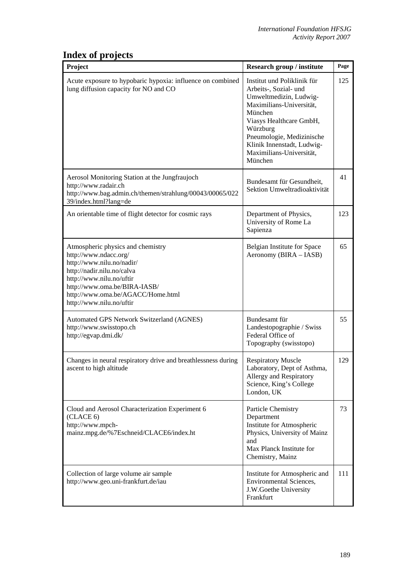## **Index of projects**

| Project                                                                                                                                                                                                                                            | Research group / institute                                                                                                                                                                                                                                     | Page |
|----------------------------------------------------------------------------------------------------------------------------------------------------------------------------------------------------------------------------------------------------|----------------------------------------------------------------------------------------------------------------------------------------------------------------------------------------------------------------------------------------------------------------|------|
| Acute exposure to hypobaric hypoxia: influence on combined<br>lung diffusion capacity for NO and CO                                                                                                                                                | Institut und Poliklinik für<br>Arbeits-, Sozial- und<br>Umweltmedizin, Ludwig-<br>Maximilians-Universität,<br>München<br>Viasys Healthcare GmbH,<br>Würzburg<br>Pneumologie, Medizinische<br>Klinik Innenstadt, Ludwig-<br>Maximilians-Universität,<br>München | 125  |
| Aerosol Monitoring Station at the Jungfraujoch<br>http://www.radair.ch<br>http://www.bag.admin.ch/themen/strahlung/00043/00065/022<br>39/index.html?lang=de                                                                                        | Bundesamt für Gesundheit,<br>Sektion Umweltradioaktivität                                                                                                                                                                                                      | 41   |
| An orientable time of flight detector for cosmic rays                                                                                                                                                                                              | Department of Physics,<br>University of Rome La<br>Sapienza                                                                                                                                                                                                    | 123  |
| Atmospheric physics and chemistry<br>http://www.ndacc.org/<br>http://www.nilu.no/nadir/<br>http://nadir.nilu.no/calva<br>http://www.nilu.no/uftir<br>http://www.oma.be/BIRA-IASB/<br>http://www.oma.be/AGACC/Home.html<br>http://www.nilu.no/uftir | Belgian Institute for Space<br>Aeronomy (BIRA - IASB)                                                                                                                                                                                                          | 65   |
| Automated GPS Network Switzerland (AGNES)<br>http://www.swisstopo.ch<br>http://egvap.dmi.dk/                                                                                                                                                       | Bundesamt für<br>Landestopographie / Swiss<br>Federal Office of<br>Topography (swisstopo)                                                                                                                                                                      | 55   |
| Changes in neural respiratory drive and breathlessness during<br>ascent to high altitude                                                                                                                                                           | <b>Respiratory Muscle</b><br>Laboratory, Dept of Asthma,<br>Allergy and Respiratory<br>Science, King's College<br>London, UK                                                                                                                                   | 129  |
| Cloud and Aerosol Characterization Experiment 6<br>(CLACE 6)<br>http://www.mpch-<br>mainz.mpg.de/%7Eschneid/CLACE6/index.ht                                                                                                                        | Particle Chemistry<br>Department<br>Institute for Atmospheric<br>Physics, University of Mainz<br>and<br>Max Planck Institute for<br>Chemistry, Mainz                                                                                                           | 73   |
| Collection of large volume air sample<br>http://www.geo.uni-frankfurt.de/iau                                                                                                                                                                       | Institute for Atmospheric and<br>Environmental Sciences,<br>J.W.Goethe University<br>Frankfurt                                                                                                                                                                 | 111  |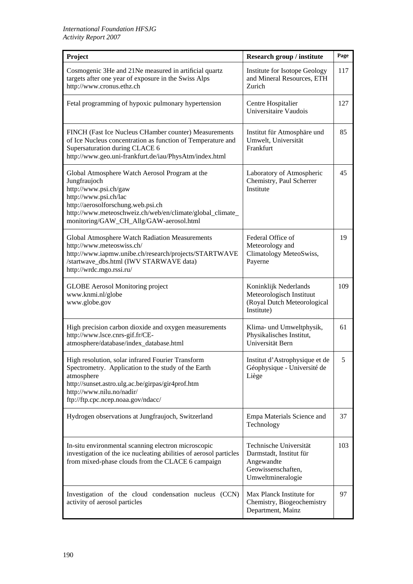| Project                                                                                                                                                                                                                                                        | Research group / institute                                                                                 | Page |
|----------------------------------------------------------------------------------------------------------------------------------------------------------------------------------------------------------------------------------------------------------------|------------------------------------------------------------------------------------------------------------|------|
| Cosmogenic 3He and 21Ne measured in artificial quartz<br>targets after one year of exposure in the Swiss Alps<br>http://www.cronus.ethz.ch                                                                                                                     | Institute for Isotope Geology<br>and Mineral Resources, ETH<br>Zurich                                      | 117  |
| Fetal programming of hypoxic pulmonary hypertension                                                                                                                                                                                                            | Centre Hospitalier<br>Universitaire Vaudois                                                                | 127  |
| FINCH (Fast Ice Nucleus CHamber counter) Measurements<br>of Ice Nucleus concentration as function of Temperature and<br>Supersaturation during CLACE 6<br>http://www.geo.uni-frankfurt.de/iau/PhysAtm/index.html                                               | Institut für Atmosphäre und<br>Umwelt, Universität<br>Frankfurt                                            | 85   |
| Global Atmosphere Watch Aerosol Program at the<br>Jungfraujoch<br>http://www.psi.ch/gaw<br>http://www.psi.ch/lac<br>http://aerosolforschung.web.psi.ch<br>http://www.meteoschweiz.ch/web/en/climate/global_climate_<br>monitoring/GAW_CH_Allg/GAW-aerosol.html | Laboratory of Atmospheric<br>Chemistry, Paul Scherrer<br>Institute                                         | 45   |
| Global Atmosphere Watch Radiation Measurements<br>http://www.meteoswiss.ch/<br>http://www.iapmw.unibe.ch/research/projects/STARTWAVE<br>/startwave_dbs.html (IWV STARWAVE data)<br>http://wrdc.mgo.rssi.ru/                                                    | Federal Office of<br>Meteorology and<br>Climatology MeteoSwiss,<br>Payerne                                 | 19   |
| <b>GLOBE</b> Aerosol Monitoring project<br>www.knmi.nl/globe<br>www.globe.gov                                                                                                                                                                                  | Koninklijk Nederlands<br>Meteorologisch Instituut<br>(Royal Dutch Meteorological<br>Institute)             | 109  |
| High precision carbon dioxide and oxygen measurements<br>http://www.lsce.cnrs-gif.fr/CE-<br>atmosphere/database/index_database.html                                                                                                                            | Klima- und Umweltphysik,<br>Physikalisches Institut,<br>Universität Bern                                   | 61   |
| High resolution, solar infrared Fourier Transform<br>Spectrometry. Application to the study of the Earth<br>atmosphere<br>http://sunset.astro.ulg.ac.be/girpas/gir4prof.htm<br>http://www.nilu.no/nadir/<br>ftp://ftp.cpc.ncep.noaa.gov/ndacc/                 | Institut d'Astrophysique et de<br>Géophysique - Université de<br>Liège                                     | 5    |
| Hydrogen observations at Jungfraujoch, Switzerland                                                                                                                                                                                                             | Empa Materials Science and<br>Technology                                                                   | 37   |
| In-situ environmental scanning electron microscopic<br>investigation of the ice nucleating abilities of aerosol particles<br>from mixed-phase clouds from the CLACE 6 campaign                                                                                 | Technische Universität<br>Darmstadt, Institut für<br>Angewandte<br>Geowissenschaften,<br>Umweltmineralogie | 103  |
| Investigation of the cloud condensation nucleus (CCN)<br>activity of aerosol particles                                                                                                                                                                         | Max Planck Institute for<br>Chemistry, Biogeochemistry<br>Department, Mainz                                | 97   |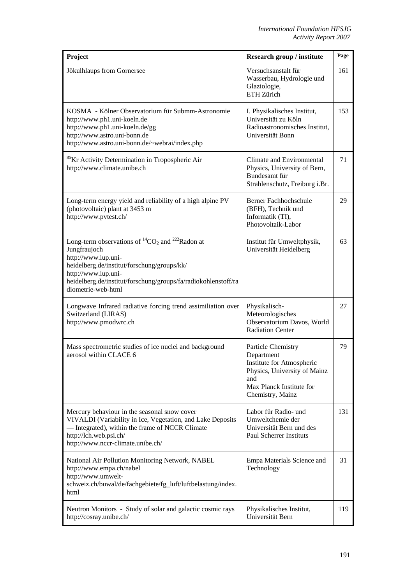| Project                                                                                                                                                                                                                                                              | Research group / institute                                                                                                                           | Page |
|----------------------------------------------------------------------------------------------------------------------------------------------------------------------------------------------------------------------------------------------------------------------|------------------------------------------------------------------------------------------------------------------------------------------------------|------|
| Jökulhlaups from Gornersee                                                                                                                                                                                                                                           | Versuchsanstalt für<br>Wasserbau, Hydrologie und<br>Glaziologie,<br>ETH Zürich                                                                       | 161  |
| KOSMA - Kölner Observatorium für Submm-Astronomie<br>http://www.ph1.uni-koeln.de<br>http://www.ph1.uni-koeln.de/gg<br>http://www.astro.uni-bonn.de<br>http://www.astro.uni-bonn.de/~webrai/index.php                                                                 | I. Physikalisches Institut,<br>Universität zu Köln<br>Radioastronomisches Institut,<br>Universität Bonn                                              | 153  |
| <sup>85</sup> Kr Activity Determination in Tropospheric Air<br>http://www.climate.unibe.ch                                                                                                                                                                           | Climate and Environmental<br>Physics, University of Bern,<br>Bundesamt für<br>Strahlenschutz, Freiburg i.Br.                                         | 71   |
| Long-term energy yield and reliability of a high alpine PV<br>(photovoltaic) plant at 3453 m<br>http://www.pvtest.ch/                                                                                                                                                | Berner Fachhochschule<br>(BFH), Technik und<br>Informatik (TI),<br>Photovoltaik-Labor                                                                | 29   |
| Long-term observations of ${}^{14}CO_2$ and ${}^{222}$ Radon at<br>Jungfraujoch<br>http://www.iup.uni-<br>heidelberg.de/institut/forschung/groups/kk/<br>http://www.iup.uni-<br>heidelberg.de/institut/forschung/groups/fa/radiokohlenstoff/ra<br>diometrie-web-html | Institut für Umweltphysik,<br>Universität Heidelberg                                                                                                 | 63   |
| Longwave Infrared radiative forcing trend assimiliation over<br>Switzerland (LIRAS)<br>http://www.pmodwrc.ch                                                                                                                                                         | Physikalisch-<br>Meteorologisches<br>Observatorium Davos, World<br><b>Radiation Center</b>                                                           | 27   |
| Mass spectrometric studies of ice nuclei and background<br>aerosol within CLACE 6                                                                                                                                                                                    | Particle Chemistry<br>Department<br>Institute for Atmospheric<br>Physics, University of Mainz<br>and<br>Max Planck Institute for<br>Chemistry, Mainz | 79   |
| Mercury behaviour in the seasonal snow cover<br>VIVALDI (Variability in Ice, Vegetation, and Lake Deposits<br>- Integrated), within the frame of NCCR Climate<br>http://lch.web.psi.ch/<br>http://www.nccr-climate.unibe.ch/                                         | Labor für Radio- und<br>Umweltchemie der<br>Universität Bern und des<br><b>Paul Scherrer Instituts</b>                                               | 131  |
| National Air Pollution Monitoring Network, NABEL<br>http://www.empa.ch/nabel<br>http://www.umwelt-<br>schweiz.ch/buwal/de/fachgebiete/fg_luft/luftbelastung/index.<br>html                                                                                           | Empa Materials Science and<br>Technology                                                                                                             | 31   |
| Neutron Monitors - Study of solar and galactic cosmic rays<br>http://cosray.unibe.ch/                                                                                                                                                                                | Physikalisches Institut,<br>Universität Bern                                                                                                         | 119  |